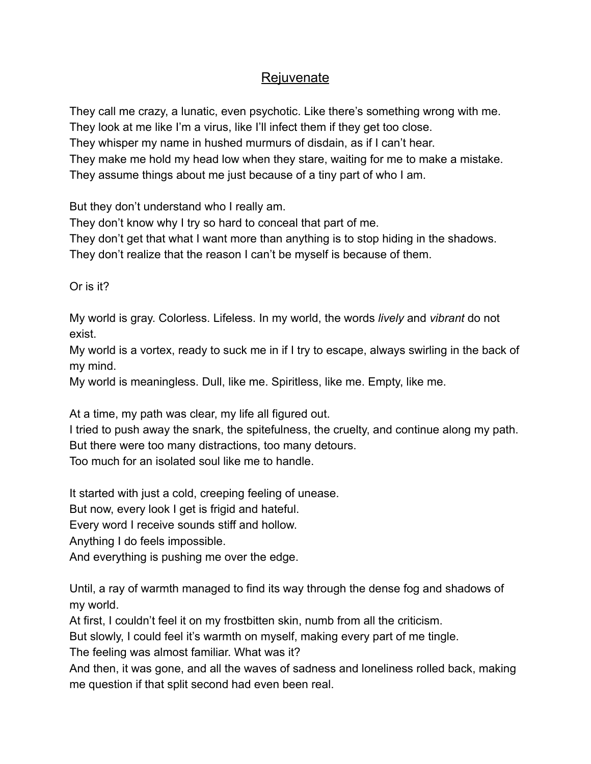## **Rejuvenate**

They call me crazy, a lunatic, even psychotic. Like there's something wrong with me. They look at me like I'm a virus, like I'll infect them if they get too close. They whisper my name in hushed murmurs of disdain, as if I can't hear. They make me hold my head low when they stare, waiting for me to make a mistake. They assume things about me just because of a tiny part of who I am.

But they don't understand who I really am.

They don't know why I try so hard to conceal that part of me.

They don't get that what I want more than anything is to stop hiding in the shadows. They don't realize that the reason I can't be myself is because of them.

Or is it?

My world is gray. Colorless. Lifeless. In my world, the words *lively* and *vibrant* do not exist.

My world is a vortex, ready to suck me in if I try to escape, always swirling in the back of my mind.

My world is meaningless. Dull, like me. Spiritless, like me. Empty, like me.

At a time, my path was clear, my life all figured out.

I tried to push away the snark, the spitefulness, the cruelty, and continue along my path. But there were too many distractions, too many detours.

Too much for an isolated soul like me to handle.

It started with just a cold, creeping feeling of unease.

But now, every look I get is frigid and hateful.

Every word I receive sounds stiff and hollow.

Anything I do feels impossible.

And everything is pushing me over the edge.

Until, a ray of warmth managed to find its way through the dense fog and shadows of my world.

At first, I couldn't feel it on my frostbitten skin, numb from all the criticism.

But slowly, I could feel it's warmth on myself, making every part of me tingle.

The feeling was almost familiar. What was it?

And then, it was gone, and all the waves of sadness and loneliness rolled back, making me question if that split second had even been real.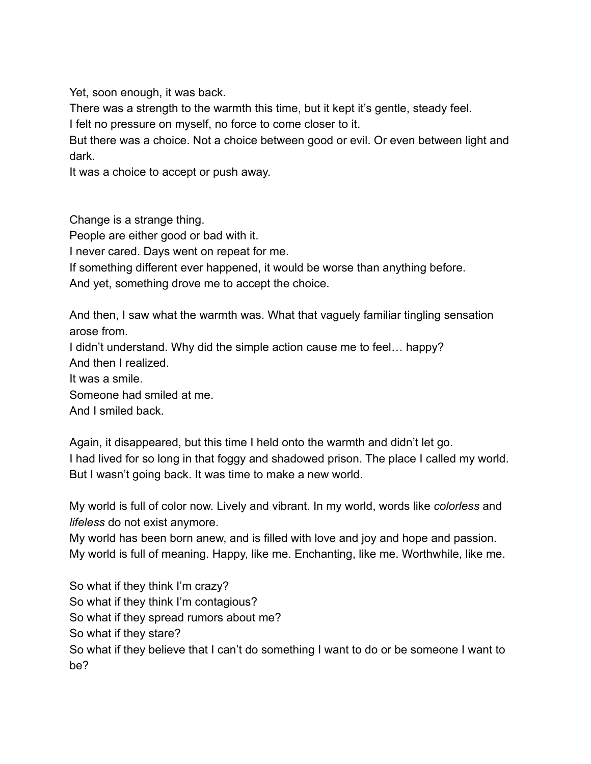Yet, soon enough, it was back.

There was a strength to the warmth this time, but it kept it's gentle, steady feel.

I felt no pressure on myself, no force to come closer to it.

But there was a choice. Not a choice between good or evil. Or even between light and dark.

It was a choice to accept or push away.

Change is a strange thing.

People are either good or bad with it.

I never cared. Days went on repeat for me.

If something different ever happened, it would be worse than anything before.

And yet, something drove me to accept the choice.

And then, I saw what the warmth was. What that vaguely familiar tingling sensation arose from.

I didn't understand. Why did the simple action cause me to feel… happy?

And then I realized.

It was a smile.

Someone had smiled at me.

And I smiled back.

Again, it disappeared, but this time I held onto the warmth and didn't let go. I had lived for so long in that foggy and shadowed prison. The place I called my world. But I wasn't going back. It was time to make a new world.

My world is full of color now. Lively and vibrant. In my world, words like *colorless* and *lifeless* do not exist anymore.

My world has been born anew, and is filled with love and joy and hope and passion. My world is full of meaning. Happy, like me. Enchanting, like me. Worthwhile, like me.

So what if they think I'm crazy? So what if they think I'm contagious? So what if they spread rumors about me? So what if they stare? So what if they believe that I can't do something I want to do or be someone I want to be?